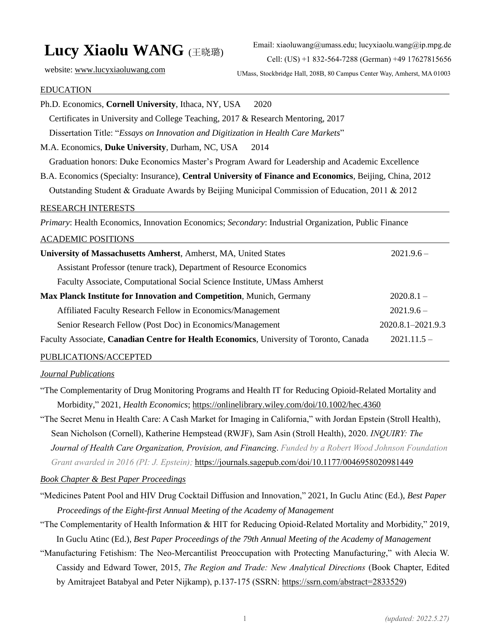# **Lucy Xiaolu WANG** (王晓璐)

Email: xiaoluwang@umass.edu; lucyxiaolu.wang@ip.mpg.de Cell: (US) +1 832-564-7288 (German) +49 17627815656

website: [www.lucyxiaoluwang.com](http://www.lucyxiaoluwang.com/)

UMass, Stockbridge Hall, 208B, 80 Campus Center Way, Amherst, MA 01003

#### EDUCATION

| Ph.D. Economics, Cornell University, Ithaca, NY, USA<br>2020                                             |                   |
|----------------------------------------------------------------------------------------------------------|-------------------|
| Certificates in University and College Teaching, 2017 & Research Mentoring, 2017                         |                   |
| Dissertation Title: "Essays on Innovation and Digitization in Health Care Markets"                       |                   |
| M.A. Economics, Duke University, Durham, NC, USA<br>2014                                                 |                   |
| Graduation honors: Duke Economics Master's Program Award for Leadership and Academic Excellence          |                   |
| B.A. Economics (Specialty: Insurance), Central University of Finance and Economics, Beijing, China, 2012 |                   |
| Outstanding Student & Graduate Awards by Beijing Municipal Commission of Education, 2011 & 2012          |                   |
| <b>RESEARCH INTERESTS</b>                                                                                |                   |
| Primary: Health Economics, Innovation Economics; Secondary: Industrial Organization, Public Finance      |                   |
| <b>ACADEMIC POSITIONS</b>                                                                                |                   |
| University of Massachusetts Amherst, Amherst, MA, United States                                          | $2021.9.6 -$      |
| Assistant Professor (tenure track), Department of Resource Economics                                     |                   |
| Faculty Associate, Computational Social Science Institute, UMass Amherst                                 |                   |
| Max Planck Institute for Innovation and Competition, Munich, Germany                                     | $2020.8.1 -$      |
| Affiliated Faculty Research Fellow in Economics/Management                                               | $2021.9.6 -$      |
| Senior Research Fellow (Post Doc) in Economics/Management                                                | 2020.8.1-2021.9.3 |
| Faculty Associate, Canadian Centre for Health Economics, University of Toronto, Canada                   | $2021.11.5 -$     |
| PUBLICATIONS/ACCEPTED                                                                                    |                   |

#### *Journal Publications*

"The Complementarity of Drug Monitoring Programs and Health IT for Reducing Opioid-Related Mortality and Morbidity," 2021*, Health Economics*; <https://onlinelibrary.wiley.com/doi/10.1002/hec.4360>

"The Secret Menu in Health Care: A Cash Market for Imaging in California," with Jordan Epstein (Stroll Health), Sean Nicholson (Cornell), Katherine Hempstead (RWJF), Sam Asin (Stroll Health), 2020. *INQUIRY: The Journal of Health Care Organization, Provision, and Financing*. *Funded by a Robert Wood Johnson Foundation Grant awarded in 2016 (PI: J. Epstein);* <https://journals.sagepub.com/doi/10.1177/0046958020981449>

#### *Book Chapter & Best Paper Proceedings*

"Medicines Patent Pool and HIV Drug Cocktail Diffusion and Innovation," 2021, In Guclu Atinc (Ed.), *Best Paper Proceedings of the Eight-first Annual Meeting of the Academy of Management*

"The Complementarity of Health Information & HIT for Reducing Opioid-Related Mortality and Morbidity," 2019, In Guclu Atinc (Ed.), *Best Paper Proceedings of the 79th Annual Meeting of the Academy of Management*

"Manufacturing Fetishism: The Neo-Mercantilist Preoccupation with Protecting Manufacturin*g*," with Alecia W. Cassidy and Edward Tower, 2015, *The Region and Trade: New Analytical Directions* (Book Chapter, Edited by Amitrajeet Batabyal and Peter Nijkamp), p.137-175 (SSRN: [https://ssrn.com/abstract=2833529\)](https://ssrn.com/abstract=2833529)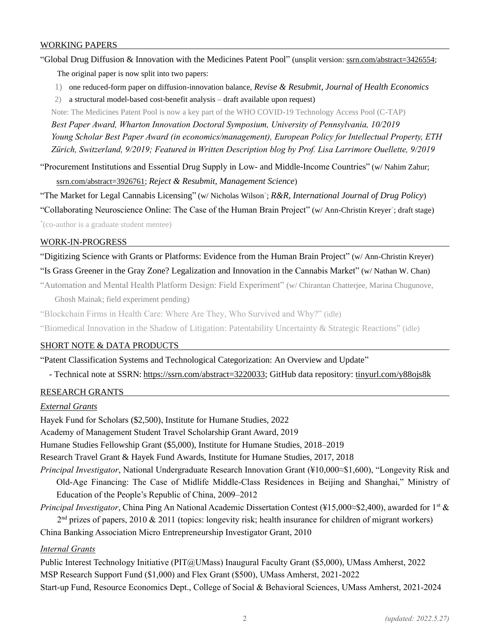#### WORKING PAPERS

"Global Drug Diffusion & Innovation with the Medicines Patent Pool" (unsplit version: [ssrn.com/abstract=3426554;](https://ssrn.com/abstract=3426554) The original paper is now split into two papers:

- 1) one reduced-form paper on diffusion-innovation balance, *Revise & Resubmit, Journal of Health Economics*
- 2) a structural model-based cost-benefit analysis draft available upon request)

Note: The Medicines Patent Pool is now a key part of the WHO COVID-19 Technology Access Pool (C-TAP)

*Best Paper Award, Wharton Innovation Doctoral Symposium, University of Pennsylvania, 10/2019 Young Scholar Best Paper Award (in economics/management), European Policy for Intellectual Property, ETH Zürich, Switzerland, 9/2019; Featured in Written Description blog by Prof. Lisa Larrimore Ouellette, 9/2019* 

"Procurement Institutions and Essential Drug Supply in Low- and Middle-Income Countries" (w/ Nahim Zahur; [ssrn.com/abstract=3926761;](https://ssrn.com/abstract=3926761) *Reject & Resubmit, Management Science*)

"The Market for Legal Cannabis Licensing" (w/ Nicholas Wilson\* ; *R&R, International Journal of Drug Policy*)

"Collaborating Neuroscience Online: The Case of the Human Brain Project" (w/ Ann-Christin Kreyer\*; draft stage)

\* (co-author is a graduate student mentee)

#### WORK-IN-PROGRESS

"Digitizing Science with Grants or Platforms: Evidence from the Human Brain Project" (w/ Ann-Christin Kreyer) "Is Grass Greener in the Gray Zone? Legalization and Innovation in the Cannabis Market" (w/ Nathan W. Chan)

"Automation and Mental Health Platform Design: Field Experiment" (w/ Chirantan Chatterjee, Marina Chugunove, Ghosh Mainak; field experiment pending)

"Blockchain Firms in Health Care: Where Are They, Who Survived and Why?" (idle)

"Biomedical Innovation in the Shadow of Litigation: Patentability Uncertainty & Strategic Reactions" (idle)

# SHORT NOTE & DATA PRODUCTS

"Patent Classification Systems and Technological Categorization: An Overview and Update"

- Technical note at SSRN: [https://ssrn.com/abstract=3220033;](https://ssrn.com/abstract=3220033) GitHub data repository: [tinyurl.com/y88ojs8k](https://tinyurl.com/y88ojs8k)

# RESEARCH GRANTS

# *External Grants*

Hayek Fund for Scholars (\$2,500), Institute for Humane Studies, 2022 Academy of Management Student Travel Scholarship Grant Award, 2019 Humane Studies Fellowship Grant (\$5,000), Institute for Humane Studies, 2018–2019 Research Travel Grant & Hayek Fund Awards, Institute for Humane Studies, 2017, 2018 *Principal Investigator*, National Undergraduate Research Innovation Grant (¥10,000≈\$1,600), "Longevity Risk and Old-Age Financing: The Case of Midlife Middle-Class Residences in Beijing and Shanghai," Ministry of

Education of the People's Republic of China, 2009–2012

*Principal Investigator*, China Ping An National Academic Dissertation Contest (¥15,000≈\$2,400), awarded for 1<sup>st</sup> &

 $2<sup>nd</sup>$  prizes of papers, 2010 & 2011 (topics: longevity risk; health insurance for children of migrant workers) China Banking Association Micro Entrepreneurship Investigator Grant, 2010

# *Internal Grants*

Public Interest Technology Initiative (PIT@UMass) Inaugural Faculty Grant (\$5,000), UMass Amherst, 2022 MSP Research Support Fund (\$1,000) and Flex Grant (\$500), UMass Amherst, 2021-2022 Start-up Fund, Resource Economics Dept., College of Social & Behavioral Sciences, UMass Amherst, 2021-2024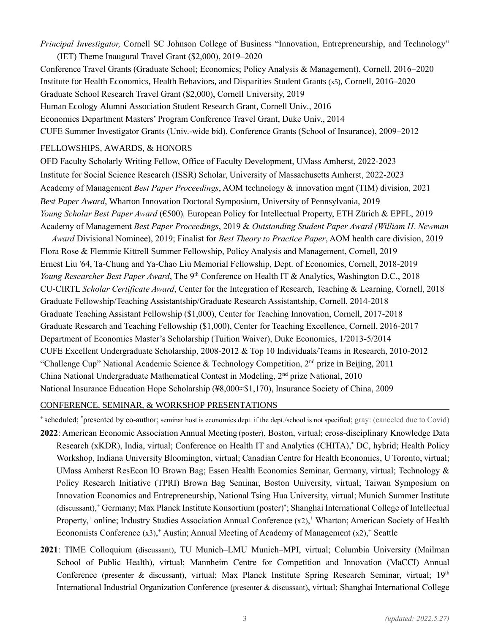*Principal Investigator,* Cornell SC Johnson College of Business "Innovation, Entrepreneurship, and Technology" (IET) Theme Inaugural Travel Grant (\$2,000), 2019–2020

Conference Travel Grants (Graduate School; Economics; Policy Analysis & Management), Cornell, 2016–2020 Institute for Health Economics, Health Behaviors, and Disparities Student Grants (x5), Cornell, 2016–2020 Graduate School Research Travel Grant (\$2,000), Cornell University, 2019 Human Ecology Alumni Association Student Research Grant, Cornell Univ., 2016 Economics Department Masters' Program Conference Travel Grant, Duke Univ., 2014 CUFE Summer Investigator Grants (Univ.-wide bid), Conference Grants (School of Insurance), 2009–2012

#### FELLOWSHIPS, AWARDS, & HONORS

OFD Faculty Scholarly Writing Fellow, Office of Faculty Development, UMass Amherst, 2022-2023 Institute for Social Science Research (ISSR) Scholar, University of Massachusetts Amherst, 2022-2023 Academy of Management *Best Paper Proceedings*, AOM technology & innovation mgnt (TIM) division, 2021 *Best Paper Award*, Wharton Innovation Doctoral Symposium, University of Pennsylvania, 2019 *Young Scholar Best Paper Award* (€500)*,* European Policy for Intellectual Property, ETH Zürich & EPFL, 2019 Academy of Management *Best Paper Proceedings*, 2019 & *Outstanding Student Paper Award (William H. Newman* 

*Award* Divisional Nominee), 2019; Finalist for *Best Theory to Practice Paper*, AOM health care division, 2019 Flora Rose & Flemmie Kittrell Summer Fellowship, Policy Analysis and Management, Cornell, 2019 Ernest Liu '64, Ta-Chung and Ya-Chao Liu Memorial Fellowship, Dept. of Economics, Cornell, 2018-2019 *Young Researcher Best Paper Award*, The 9<sup>th</sup> Conference on Health IT & Analytics, Washington D.C., 2018 CU-CIRTL *Scholar Certificate Award*, Center for the Integration of Research, Teaching & Learning, Cornell, 2018 Graduate Fellowship/Teaching Assistantship/Graduate Research Assistantship, Cornell, 2014-2018 Graduate Teaching Assistant Fellowship (\$1,000), Center for Teaching Innovation, Cornell, 2017-2018 Graduate Research and Teaching Fellowship (\$1,000), Center for Teaching Excellence, Cornell, 2016-2017 Department of Economics Master's Scholarship (Tuition Waiver), Duke Economics, 1/2013-5/2014 CUFE Excellent Undergraduate Scholarship, 2008-2012 & Top 10 Individuals/Teams in Research, 2010-2012 "Challenge Cup" National Academic Science & Technology Competition, 2nd prize in Beijing, 2011 China National Undergraduate Mathematical Contest in Modeling,  $2<sup>nd</sup>$  prize National, 2010 National Insurance Education Hope Scholarship (¥8,000≈\$1,170), Insurance Society of China, 2009

# CONFERENCE, SEMINAR, & WORKSHOP PRESENTATIONS

<sup>+</sup>scheduled; \*presented by co-author; seminar host is economics dept. if the dept./school is not specified; gray: (canceled due to Covid)

- **2022**: American Economic Association Annual Meeting (poster), Boston, virtual; cross-disciplinary Knowledge Data Research (xKDR), India, virtual; Conference on Health IT and Analytics (CHITA), \* DC, hybrid; Health Policy Workshop, Indiana University Bloomington, virtual; Canadian Centre for Health Economics, U Toronto, virtual; UMass Amherst ResEcon IO Brown Bag; Essen Health Economics Seminar, Germany, virtual; Technology & Policy Research Initiative (TPRI) Brown Bag Seminar, Boston University, virtual; Taiwan Symposium on Innovation Economics and Entrepreneurship, National Tsing Hua University, virtual; Munich Summer Institute (discussant), <sup>+</sup> Germany; Max Planck Institute Konsortium (poster)\* ; Shanghai International College of Intellectual Property,<sup>+</sup> online; Industry Studies Association Annual Conference (x2),<sup>+</sup> Wharton; American Society of Health Economists Conference (x3),<sup>+</sup> Austin; Annual Meeting of Academy of Management (x2),<sup>+</sup> Seattle
- **2021**: TIME Colloquium (discussant), TU Munich–LMU Munich–MPI, virtual; Columbia University (Mailman School of Public Health), virtual; Mannheim Centre for Competition and Innovation (MaCCI) Annual Conference (presenter & discussant), virtual; Max Planck Institute Spring Research Seminar, virtual; 19<sup>th</sup> International Industrial Organization Conference (presenter & discussant), virtual; Shanghai International College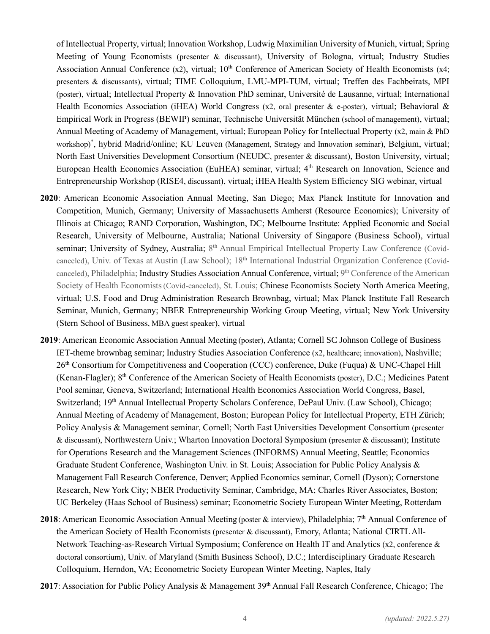of Intellectual Property, virtual; Innovation Workshop, Ludwig Maximilian University of Munich, virtual; Spring Meeting of Young Economists (presenter & discussant), University of Bologna, virtual; Industry Studies Association Annual Conference (x2), virtual; 10<sup>th</sup> Conference of American Society of Health Economists (x4; presenters & discussants), virtual; TIME Colloquium, LMU-MPI-TUM, virtual; Treffen des Fachbeirats, MPI (poster), virtual; Intellectual Property & Innovation PhD seminar, Université de Lausanne, virtual; International Health Economics Association (iHEA) World Congress (x2, oral presenter & e-poster), virtual; Behavioral & Empirical Work in Progress (BEWIP) seminar, Technische Universität München (school of management), virtual; Annual Meeting of Academy of Management, virtual; European Policy for Intellectual Property (x2, main & PhD workshop) \* , hybrid Madrid/online; KU Leuven (Management, Strategy and Innovation seminar), Belgium, virtual; North East Universities Development Consortium (NEUDC, presenter & discussant), Boston University, virtual; European Health Economics Association (EuHEA) seminar, virtual; 4<sup>th</sup> Research on Innovation, Science and Entrepreneurship Workshop (RISE4, discussant), virtual; iHEA Health System Efficiency SIG webinar, virtual

- **2020**: American Economic Association Annual Meeting, San Diego; Max Planck Institute for Innovation and Competition, Munich, Germany; University of Massachusetts Amherst (Resource Economics); University of Illinois at Chicago; RAND Corporation, Washington, DC; Melbourne Institute: Applied Economic and Social Research, University of Melbourne, Australia; National University of Singapore (Business School), virtual seminar; University of Sydney, Australia; 8<sup>th</sup> Annual Empirical Intellectual Property Law Conference (Covidcanceled), Univ. of Texas at Austin (Law School); 18<sup>th</sup> International Industrial Organization Conference (Covidcanceled), Philadelphia; Industry Studies Association Annual Conference, virtual; 9<sup>th</sup> Conference of the American Society of Health Economists(Covid-canceled), St. Louis; Chinese Economists Society North America Meeting, virtual; U.S. Food and Drug Administration Research Brownbag, virtual; Max Planck Institute Fall Research Seminar, Munich, Germany; NBER Entrepreneurship Working Group Meeting, virtual; New York University (Stern School of Business, MBA guest speaker), virtual
- **2019**: American Economic Association Annual Meeting (poster), Atlanta; Cornell SC Johnson College of Business IET-theme brownbag seminar; Industry Studies Association Conference (x2, healthcare; innovation), Nashville; 26th Consortium for Competitiveness and Cooperation (CCC) conference, Duke (Fuqua) & UNC-Chapel Hill (Kenan-Flagler); 8<sup>th</sup> Conference of the American Society of Health Economists (poster), D.C.; Medicines Patent Pool seminar, Geneva, Switzerland; International Health Economics Association World Congress, Basel, Switzerland; 19th Annual Intellectual Property Scholars Conference, DePaul Univ. (Law School), Chicago; Annual Meeting of Academy of Management, Boston; European Policy for Intellectual Property, ETH Zürich; Policy Analysis & Management seminar, Cornell; North East Universities Development Consortium (presenter & discussant), Northwestern Univ.; Wharton Innovation Doctoral Symposium (presenter & discussant); Institute for Operations Research and the Management Sciences (INFORMS) Annual Meeting, Seattle; Economics Graduate Student Conference, Washington Univ. in St. Louis; Association for Public Policy Analysis & Management Fall Research Conference, Denver; Applied Economics seminar, Cornell (Dyson); Cornerstone Research, New York City; NBER Productivity Seminar, Cambridge, MA; Charles River Associates, Boston; UC Berkeley (Haas School of Business) seminar; Econometric Society European Winter Meeting, Rotterdam
- 2018: American Economic Association Annual Meeting (poster & interview), Philadelphia; 7<sup>th</sup> Annual Conference of the American Society of Health Economists (presenter & discussant), Emory, Atlanta; National CIRTL All-Network Teaching-as-Research Virtual Symposium; Conference on Health IT and Analytics (x2, conference & doctoral consortium), Univ. of Maryland (Smith Business School), D.C.; Interdisciplinary Graduate Research Colloquium, Herndon, VA; Econometric Society European Winter Meeting, Naples, Italy
- 2017: Association for Public Policy Analysis & Management 39<sup>th</sup> Annual Fall Research Conference, Chicago; The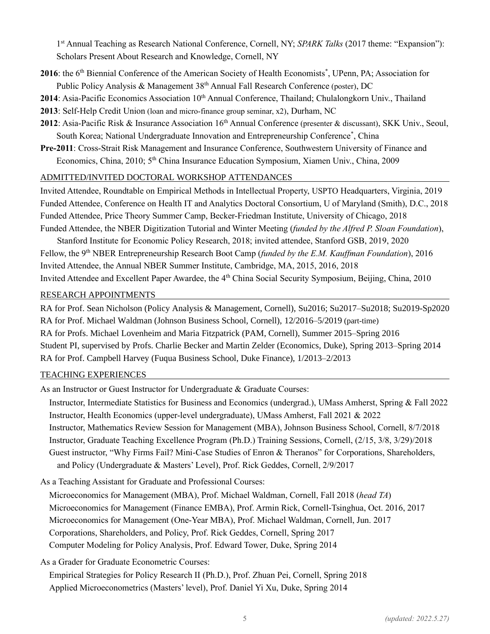1<sup>st</sup> Annual Teaching as Research National Conference, Cornell, NY; *SPARK Talks* (2017 theme: "Expansion"): Scholars Present About Research and Knowledge, Cornell, NY

- 2016: the 6<sup>th</sup> Biennial Conference of the American Society of Health Economists<sup>\*</sup>, UPenn, PA; Association for Public Policy Analysis & Management  $38<sup>th</sup>$  Annual Fall Research Conference (poster), DC
- 2014: Asia-Pacific Economics Association 10<sup>th</sup> Annual Conference, Thailand; Chulalongkorn Univ., Thailand
- **2013**: Self-Help Credit Union (loan and micro-finance group seminar, x2), Durham, NC
- 2012: Asia-Pacific Risk & Insurance Association 16<sup>th</sup> Annual Conference (presenter & discussant), SKK Univ., Seoul, South Korea; National Undergraduate Innovation and Entrepreneurship Conference<sup>\*</sup>, China
- **Pre-2011**: Cross-Strait Risk Management and Insurance Conference, Southwestern University of Finance and Economics, China, 2010; 5<sup>th</sup> China Insurance Education Symposium, Xiamen Univ., China, 2009

# ADMITTED/INVITED DOCTORAL WORKSHOP ATTENDANCES

Invited Attendee, Roundtable on Empirical Methods in Intellectual Property, USPTO Headquarters, Virginia, 2019 Funded Attendee, Conference on Health IT and Analytics Doctoral Consortium, U of Maryland (Smith), D.C., 2018 Funded Attendee, Price Theory Summer Camp, Becker-Friedman Institute, University of Chicago, 2018 Funded Attendee, the NBER Digitization Tutorial and Winter Meeting (*funded by the Alfred P. Sloan Foundation*),

Stanford Institute for Economic Policy Research, 2018; invited attendee, Stanford GSB, 2019, 2020 Fellow, the 9th NBER Entrepreneurship Research Boot Camp (*funded by the E.M. Kauffman Foundation*), 2016 Invited Attendee, the Annual NBER Summer Institute, Cambridge, MA, 2015, 2016, 2018 Invited Attendee and Excellent Paper Awardee, the 4<sup>th</sup> China Social Security Symposium, Beijing, China, 2010

#### RESEARCH APPOINTMENTS

RA for Prof. Sean Nicholson (Policy Analysis & Management, Cornell), Su2016; Su2017–Su2018; Su2019-Sp2020 RA for Prof. Michael Waldman (Johnson Business School, Cornell), 12/2016–5/2019 (part-time) RA for Profs. Michael Lovenheim and Maria Fitzpatrick (PAM, Cornell), Summer 2015–Spring 2016 Student PI, supervised by Profs. Charlie Becker and Martin Zelder (Economics, Duke), Spring 2013–Spring 2014 RA for Prof. Campbell Harvey (Fuqua Business School, Duke Finance), 1/2013–2/2013

# TEACHING EXPERIENCES

As an Instructor or Guest Instructor for Undergraduate & Graduate Courses:

 Instructor, Intermediate Statistics for Business and Economics (undergrad.), UMass Amherst, Spring & Fall 2022 Instructor, Health Economics (upper-level undergraduate), UMass Amherst, Fall 2021 & 2022 Instructor, Mathematics Review Session for Management (MBA), Johnson Business School, Cornell, 8/7/2018 Instructor, Graduate Teaching Excellence Program (Ph.D.) Training Sessions, Cornell, (2/15, 3/8, 3/29)/2018 Guest instructor, "Why Firms Fail? Mini-Case Studies of Enron & Theranos" for Corporations, Shareholders, and Policy (Undergraduate & Masters' Level), Prof. Rick Geddes, Cornell, 2/9/2017

As a Teaching Assistant for Graduate and Professional Courses:

 Microeconomics for Management (MBA), Prof. Michael Waldman, Cornell, Fall 2018 (*head TA*) Microeconomics for Management (Finance EMBA), Prof. Armin Rick, Cornell-Tsinghua, Oct. 2016, 2017 Microeconomics for Management (One-Year MBA), Prof. Michael Waldman, Cornell, Jun. 2017 Corporations, Shareholders, and Policy, Prof. Rick Geddes, Cornell, Spring 2017 Computer Modeling for Policy Analysis, Prof. Edward Tower, Duke, Spring 2014

As a Grader for Graduate Econometric Courses:

 Empirical Strategies for Policy Research II (Ph.D.), Prof. Zhuan Pei, Cornell, Spring 2018 Applied Microeconometrics (Masters' level), Prof. Daniel Yi Xu, Duke, Spring 2014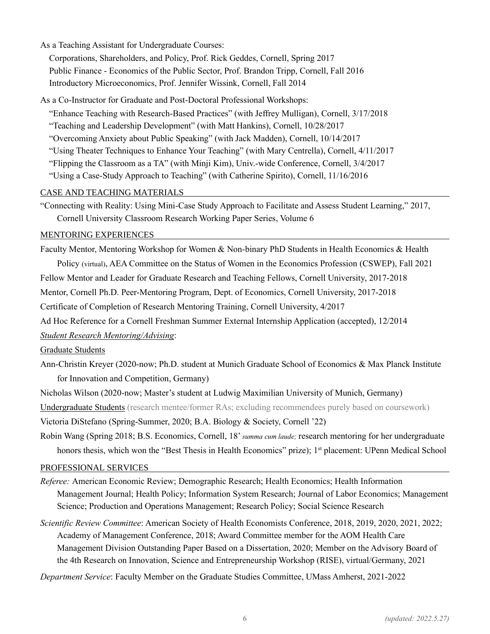As a Teaching Assistant for Undergraduate Courses:

 Corporations, Shareholders, and Policy, Prof. Rick Geddes, Cornell, Spring 2017 Public Finance - Economics of the Public Sector, Prof. Brandon Tripp, Cornell, Fall 2016 Introductory Microeconomics, Prof. Jennifer Wissink, Cornell, Fall 2014

As a Co-Instructor for Graduate and Post-Doctoral Professional Workshops:

 "Enhance Teaching with Research-Based Practices" (with Jeffrey Mulligan), Cornell, 3/17/2018 "Teaching and Leadership Development" (with Matt Hankins), Cornell, 10/28/2017 "Overcoming Anxiety about Public Speaking" (with Jack Madden), Cornell, 10/14/2017 "Using Theater Techniques to Enhance Your Teaching" (with Mary Centrella), Cornell, 4/11/2017 "Flipping the Classroom as a TA" (with Minji Kim), Univ.-wide Conference, Cornell, 3/4/2017 "Using a Case-Study Approach to Teaching" (with Catherine Spirito), Cornell, 11/16/2016

# CASE AND TEACHING MATERIALS

"Connecting with Reality: Using Mini-Case Study Approach to Facilitate and Assess Student Learning," 2017, Cornell University Classroom Research Working Paper Series, Volume 6

# MENTORING EXPERIENCES

Faculty Mentor, Mentoring Workshop for Women & Non-binary PhD Students in Health Economics & Health Policy (virtual), AEA Committee on the Status of Women in the Economics Profession (CSWEP), Fall 2021 Fellow Mentor and Leader for Graduate Research and Teaching Fellows, Cornell University, 2017-2018 Mentor, Cornell Ph.D. Peer-Mentoring Program, Dept. of Economics, Cornell University, 2017-2018 Certificate of Completion of Research Mentoring Training, Cornell University, 4/2017

Ad Hoc Reference for a Cornell Freshman Summer External Internship Application (accepted), 12/2014

# *Student Research Mentoring/Advising*:

Graduate Students

Ann-Christin Kreyer (2020-now; Ph.D. student at Munich Graduate School of Economics & Max Planck Institute for Innovation and Competition, Germany)

Nicholas Wilson (2020-now; Master's student at Ludwig Maximilian University of Munich, Germany) Undergraduate Students (research mentee/former RAs; excluding recommendees purely based on coursework)

Victoria DiStefano (Spring-Summer, 2020; B.A. Biology & Society, Cornell '22)

Robin Wang (Spring 2018; B.S. Economics, Cornell, 18' *summa cum laude;* research mentoring for her undergraduate honors thesis, which won the "Best Thesis in Health Economics" prize); 1<sup>st</sup> placement: UPenn Medical School

# PROFESSIONAL SERVICES

- *Referee:* American Economic Review; Demographic Research; Health Economics; Health Information Management Journal; Health Policy; Information System Research; Journal of Labor Economics; Management Science; Production and Operations Management; Research Policy; Social Science Research
- *Scientific Review Committee*: American Society of Health Economists Conference, 2018, 2019, 2020, 2021, 2022; Academy of Management Conference, 2018; Award Committee member for the AOM Health Care Management Division Outstanding Paper Based on a Dissertation, 2020; Member on the Advisory Board of the 4th Research on Innovation, Science and Entrepreneurship Workshop (RISE), virtual/Germany, 2021

*Department Service*: Faculty Member on the Graduate Studies Committee, UMass Amherst, 2021-2022